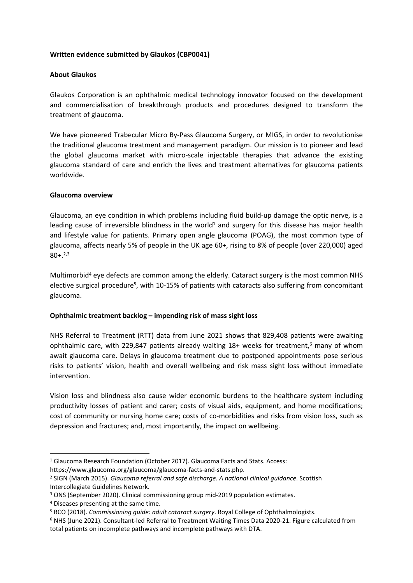## **Written evidence submitted by Glaukos (CBP0041)**

## **About Glaukos**

Glaukos Corporation is an ophthalmic medical technology innovator focused on the development and commercialisation of breakthrough products and procedures designed to transform the treatment of glaucoma.

We have pioneered Trabecular Micro By-Pass Glaucoma Surgery, or MIGS, in order to revolutionise the traditional glaucoma treatment and management paradigm. Our mission is to pioneer and lead the global glaucoma market with micro-scale injectable therapies that advance the existing glaucoma standard of care and enrich the lives and treatment alternatives for glaucoma patients worldwide.

## **Glaucoma overview**

Glaucoma, an eye condition in which problems including fluid build-up damage the optic nerve, is a leading cause of irreversible blindness in the world<sup>1</sup> and surgery for this disease has major health and lifestyle value for patients. Primary open angle glaucoma (POAG), the most common type of glaucoma, affects nearly 5% of people in the UK age 60+, rising to 8% of people (over 220,000) aged  $80 + .^{2,3}$ 

Multimorbid<sup>4</sup> eye defects are common among the elderly. Cataract surgery is the most common NHS elective surgical procedure<sup>5</sup>, with 10-15% of patients with cataracts also suffering from concomitant glaucoma.

# **Ophthalmic treatment backlog – impending risk of mass sight loss**

NHS Referral to Treatment (RTT) data from June 2021 shows that 829,408 patients were awaiting ophthalmic care, with 229,847 patients already waiting  $18+$  weeks for treatment,<sup>6</sup> many of whom await glaucoma care. Delays in glaucoma treatment due to postponed appointments pose serious risks to patients' vision, health and overall wellbeing and risk mass sight loss without immediate intervention.

Vision loss and blindness also cause wider economic burdens to the healthcare system including productivity losses of patient and carer; costs of visual aids, equipment, and home modifications; cost of community or nursing home care; costs of co-morbidities and risks from vision loss, such as depression and fractures; and, most importantly, the impact on wellbeing.

<sup>&</sup>lt;sup>1</sup> Glaucoma Research Foundation (October 2017). Glaucoma Facts and Stats. Access:

https://www.glaucoma.org/glaucoma/glaucoma-facts-and-stats.php.

<sup>2</sup> SIGN (March 2015). *Glaucoma referral and safe discharge. A national clinical guidance*. Scottish Intercollegiate Guidelines Network.

<sup>3</sup> ONS (September 2020). Clinical commissioning group mid-2019 population estimates.

<sup>4</sup> Diseases presenting at the same time.

<sup>5</sup> RCO (2018). *Commissioning guide: adult cataract surgery*. Royal College of Ophthalmologists.

<sup>6</sup> NHS (June 2021). Consultant-led Referral to Treatment Waiting Times Data 2020-21. Figure calculated from total patients on incomplete pathways and incomplete pathways with DTA.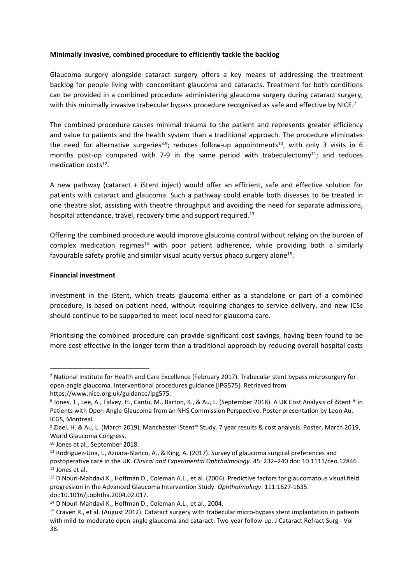### **Minimally invasive, combined procedure to efficiently tackle the backlog**

Glaucoma surgery alongside cataract surgery offers a key means of addressing the treatment backlog for people living with concomitant glaucoma and cataracts. Treatment for both conditions can be provided in a combined procedure administering glaucoma surgery during cataract surgery, with this minimally invasive trabecular bypass procedure recognised as safe and effective by NICE.<sup>7</sup>

The combined procedure causes minimal trauma to the patient and represents greater efficiency and value to patients and the health system than a traditional approach. The procedure eliminates the need for alternative surgeries<sup>8,9</sup>; reduces follow-up appointments<sup>10</sup>, with only 3 visits in 6 months post-op compared with 7-9 in the same period with trabeculectomy<sup>11</sup>; and reduces medication costs<sup>12</sup>.

A new pathway (cataract + iStent inject) would offer an efficient, safe and effective solution for patients with cataract and glaucoma. Such a pathway could enable both diseases to be treated in one theatre slot, assisting with theatre throughput and avoiding the need for separate admissions, hospital attendance, travel, recovery time and support required.<sup>13</sup>

Offering the combined procedure would improve glaucoma control without relying on the burden of complex medication regimes<sup>14</sup> with poor patient adherence, while providing both a similarly favourable safety profile and similar visual acuity versus phaco surgery alone<sup>15</sup>.

## **Financial investment**

Investment in the iStent, which treats glaucoma either as a standalone or part of a combined procedure, is based on patient need, without requiring changes to service delivery, and new ICSs should continue to be supported to meet local need for glaucoma care.

Prioritising the combined procedure can provide significant cost savings, having been found to be more cost-effective in the longer term than a traditional approach by reducing overall hospital costs

<sup>7</sup> National Institute for Health and Care Excellence (February 2017). Trabecular stent bypass microsurgery for open-angle glaucoma. Interventional procedures guidance [IPG575]. Retrieved from https://www.nice.org.uk/guidance/ipg575.

<sup>8</sup> Jones, T., Lee, A., Falvey, H., Cantu, M., Barton, K., & Au, L. (September 2018). A UK Cost Analysis of iStent ® in Patients with Open-Angle Glaucoma from an NHS Commission Perspective. Poster presentation by Leon Au. ICGS, Montreal.

<sup>9</sup> Ziaei, H. & Au, L. (March 2019). Manchester iStent® Study. 7 year results & cost analysis. Poster, March 2019, World Glaucoma Congress.

<sup>10</sup> Jones et al., September 2018.

<sup>11</sup> Rodriguez-Una, I., Azuara-Blanco, A., & King, A. (2017). Survey of glaucoma surgical preferences and postoperative care in the UK. *Clinical and Experimental Ophthalmology*. 45: 232–240 doi: 10.1111/ceo.12846 <sup>12</sup> Jones et al.

<sup>&</sup>lt;sup>13</sup> D Nouri-Mahdavi K., Hoffman D., Coleman A.L., et al. (2004). Predictive factors for glaucomatous visual field progression in the Advanced Glaucoma Intervention Study. *Ophthalmology*. 111:1627-1635. doi:10.1016/j.ophtha.2004.02.017.

<sup>14</sup> D Nouri-Mahdavi K., Hoffman D., Coleman A.L., et al., 2004.

<sup>15</sup> Craven R., et al. (August 2012). Cataract surgery with trabecular micro-bypass stent implantation in patients with mild-to-moderate open-angle glaucoma and cataract: Two-year follow-up. J Cataract Refract Surg - Vol 38.